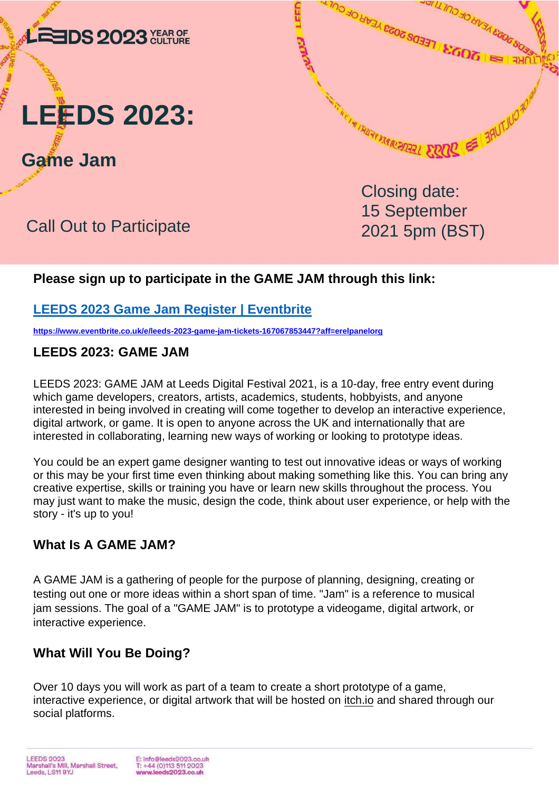



**Game Jam**

# Call Out to Participate

Closing date: 15 September 2021 5pm (BST)

WEIGHT RECEIVED 17500 17500 17500 17500

**FOUT LEEDS 2023 YEAR OF CULTI** 

FERENTI OF CITY AND

# **Please sign up to participate in the GAME JAM through this link:**

# **[LEEDS 2023 Game Jam Register | Eventbrite](https://www.eventbrite.co.uk/e/leeds-2023-game-jam-tickets-167067853447?aff=erelpanelorg)**

**<https://www.eventbrite.co.uk/e/leeds-2023-game-jam-tickets-167067853447?aff=erelpanelorg>**

#### **LEEDS 2023: GAME JAM**

LEEDS 2023: GAME JAM at Leeds Digital Festival 2021, is a 10-day, free entry event during which game developers, creators, artists, academics, students, hobbyists, and anyone interested in being involved in creating will come together to develop an interactive experience, digital artwork, or game. It is open to anyone across the UK and internationally that are interested in collaborating, learning new ways of working or looking to prototype ideas.

LEED

You could be an expert game designer wanting to test out innovative ideas or ways of working or this may be your first time even thinking about making something like this. You can bring any creative expertise, skills or training you have or learn new skills throughout the process. You may just want to make the music, design the code, think about user experience, or help with the story - it's up to you!

#### **What Is A GAME JAM?**

A GAME JAM is a gathering of people for the purpose of planning, designing, creating or testing out one or more ideas within a short span of time. "Jam" is a reference to musical jam sessions. The goal of a "GAME JAM" is to prototype a videogame, digital artwork, or interactive experience.

# **What Will You Be Doing?**

Over 10 days you will work as part of a team to create a short prototype of a game, interactive experience, or digital artwork that will be hosted on [itch.io](https://itch.io/) and shared through our social platforms.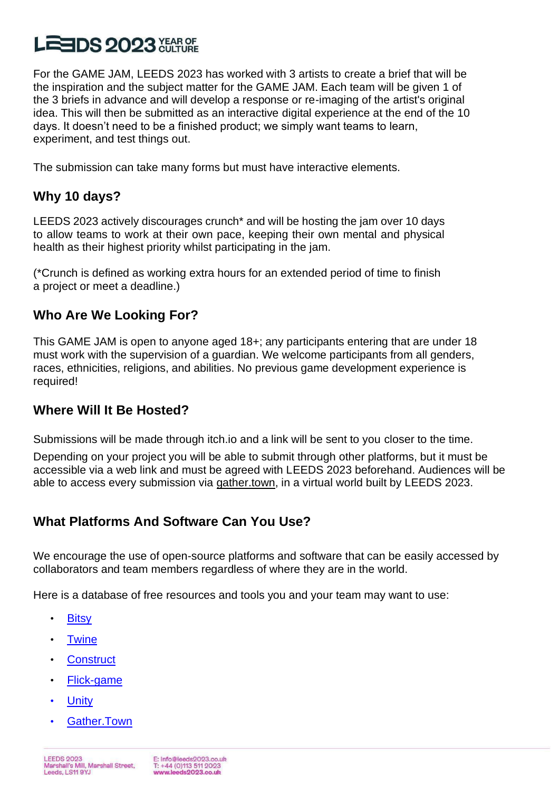# **LEEDS 2023 <del>Control</del>**

For the GAME JAM, LEEDS 2023 has worked with 3 artists to create a brief that will be the inspiration and the subject matter for the GAME JAM. Each team will be given 1 of the 3 briefs in advance and will develop a response or re-imaging of the artist's original idea. This will then be submitted as an interactive digital experience at the end of the 10 days. It doesn't need to be a finished product; we simply want teams to learn, experiment, and test things out.

The submission can take many forms but must have interactive elements.

### **Why 10 days?**

LEEDS 2023 actively discourages crunch\* and will be hosting the jam over 10 days to allow teams to work at their own pace, keeping their own mental and physical health as their highest priority whilst participating in the jam.

(\*Crunch is defined as working extra hours for an extended period of time to finish a project or meet a deadline.)

#### **Who Are We Looking For?**

This GAME JAM is open to anyone aged 18+; any participants entering that are under 18 must work with the supervision of a guardian. We welcome participants from all genders, races, ethnicities, religions, and abilities. No previous game development experience is required!

#### **Where Will It Be Hosted?**

Submissions will be made through itch.io and a link will be sent to you closer to the time.

Depending on your project you will be able to submit through other platforms, but it must be accessible via a web link and must be agreed with LEEDS 2023 beforehand. Audiences will be able to access every submission via [gather.town,](https://www.gather.town/) in a virtual world built by LEEDS 2023.

# **What Platforms And Software Can You Use?**

We encourage the use of open-source platforms and software that can be easily accessed by collaborators and team members regardless of where they are in the world.

Here is a database of free resources and tools you and your team may want to use:

- [Bitsy](https://bitsy.org/)
- **[Twine](https://twinery.org/)**
- **[Construct](https://www.construct.net/en)**
- [Flick-game](https://www.flickgame.org/)
- **[Unity](https://unity3d.com/get-unity/download)**
- [Gather.Town](https://www.gather.town/)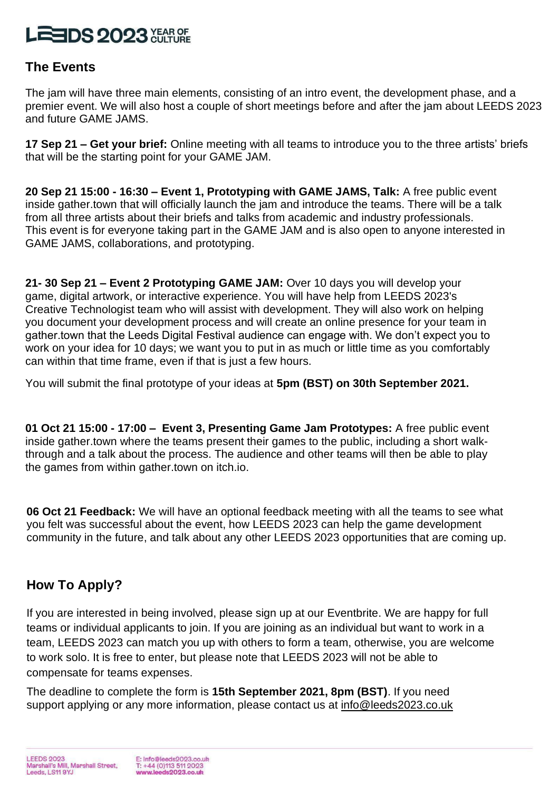# **LEEDS 2023 XEARGE**

#### **The Events**

The jam will have three main elements, consisting of an intro event, the development phase, and a premier event. We will also host a couple of short meetings before and after the jam about LEEDS 2023 and future GAME JAMS.

**17 Sep 21 – Get your brief:** Online meeting with all teams to introduce you to the three artists' briefs that will be the starting point for your GAME JAM.

**20 Sep 21 15:00 - 16:30 – Event 1, Prototyping with GAME JAMS, Talk:** A free public event inside gather.town that will officially launch the jam and introduce the teams. There will be a talk from all three artists about their briefs and talks from academic and industry professionals. This event is for everyone taking part in the GAME JAM and is also open to anyone interested in GAME JAMS, collaborations, and prototyping.

**21- 30 Sep 21 – Event 2 Prototyping GAME JAM:** Over 10 days you will develop your game, digital artwork, or interactive experience. You will have help from LEEDS 2023's Creative Technologist team who will assist with development. They will also work on helping you document your development process and will create an online presence for your team in gather.town that the Leeds Digital Festival audience can engage with. We don't expect you to work on your idea for 10 days; we want you to put in as much or little time as you comfortably can within that time frame, even if that is just a few hours.

You will submit the final prototype of your ideas at **5pm (BST) on 30th September 2021.** 

**01 Oct 21 15:00 - 17:00 – Event 3, Presenting Game Jam Prototypes:** A free public event inside gather.town where the teams present their games to the public, including a short walkthrough and a talk about the process. The audience and other teams will then be able to play the games from within gather.town on itch.io.

**06 Oct 21 Feedback:** We will have an optional feedback meeting with all the teams to see what you felt was successful about the event, how LEEDS 2023 can help the game development community in the future, and talk about any other LEEDS 2023 opportunities that are coming up.

# **How To Apply?**

If you are interested in being involved, please sign up at our Eventbrite. We are happy for full teams or individual applicants to join. If you are joining as an individual but want to work in a team, LEEDS 2023 can match you up with others to form a team, otherwise, you are welcome to work solo. It is free to enter, but please note that LEEDS 2023 will not be able to compensate for teams expenses.

The deadline to complete the form is **15th September 2021, 8pm (BST)**. If you need support applying or any more information, please contact us at [info@leeds2023.co.uk](mailto:info@leeds2023.co.uk)